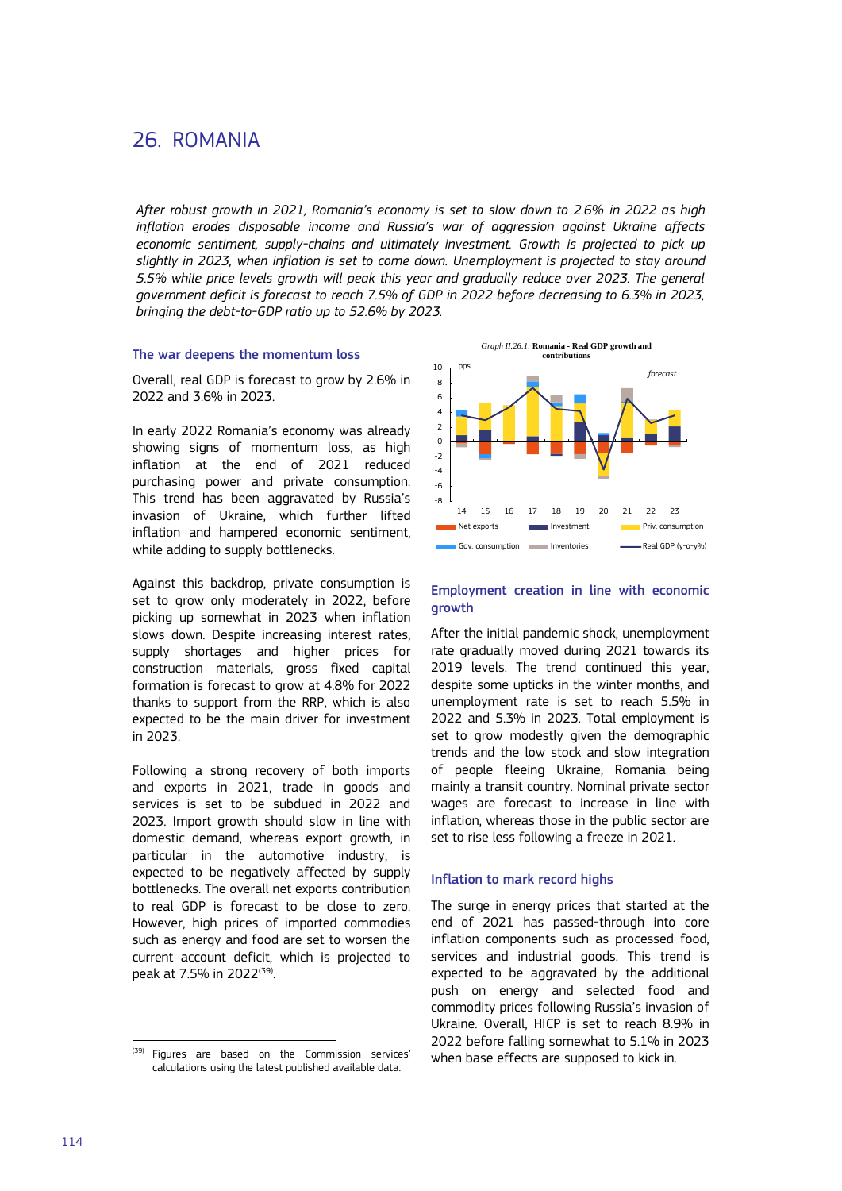# 26. ROMANIA

*After robust growth in 2021, Romania's economy is set to slow down to 2.6% in 2022 as high inflation erodes disposable income and Russia's war of aggression against Ukraine affects*  economic sentiment, supply-chains and ultimately investment. Growth is projected to pick up *slightly in 2023, when inflation is set to come down. Unemployment is projected to stay around 5.5% while price levels growth will peak this year and gradually reduce over 2023. The general government deficit is forecast to reach 7.5% of GDP in 2022 before decreasing to 6.3% in 2023, bringing the debt-to-GDP ratio up to 52.6% by 2023.*

## The war deepens the momentum loss

Overall, real GDP is forecast to grow by 2.6% in 2022 and 3.6% in 2023.

In early 2022 Romania's economy was already showing signs of momentum loss, as high inflation at the end of 2021 reduced purchasing power and private consumption. This trend has been aggravated by Russia's invasion of Ukraine, which further lifted inflation and hampered economic sentiment, while adding to supply bottlenecks.

Against this backdrop, private consumption is set to grow only moderately in 2022, before picking up somewhat in 2023 when inflation slows down. Despite increasing interest rates, supply shortages and higher prices for construction materials, gross fixed capital formation is forecast to grow at 4.8% for 2022 thanks to support from the RRP, which is also expected to be the main driver for investment in 2023.

Following a strong recovery of both imports and exports in 2021, trade in goods and services is set to be subdued in 2022 and 2023. Import growth should slow in line with domestic demand, whereas export growth, in particular in the automotive industry, is expected to be negatively affected by supply bottlenecks. The overall net exports contribution to real GDP is forecast to be close to zero. However, high prices of imported commodies such as energy and food are set to worsen the current account deficit, which is projected to peak at 7.5% in 2022<sup>(39)</sup>. .



# Employment creation in line with economic growth

After the initial pandemic shock, unemployment rate gradually moved during 2021 towards its 2019 levels. The trend continued this year, despite some upticks in the winter months, and unemployment rate is set to reach 5.5% in 2022 and 5.3% in 2023. Total employment is set to grow modestly given the demographic trends and the low stock and slow integration of people fleeing Ukraine, Romania being mainly a transit country. Nominal private sector wages are forecast to increase in line with inflation, whereas those in the public sector are set to rise less following a freeze in 2021.

### Inflation to mark record highs

The surge in energy prices that started at the end of 2021 has passed-through into core inflation components such as processed food, services and industrial goods. This trend is expected to be aggravated by the additional push on energy and selected food and commodity prices following Russia's invasion of Ukraine. Overall, HICP is set to reach 8.9% in 2022 before falling somewhat to 5.1% in 2023 when base effects are supposed to kick in.

l

<sup>&</sup>lt;sup>(39)</sup> Figures are based on the Commission services' calculations using the latest published available data.